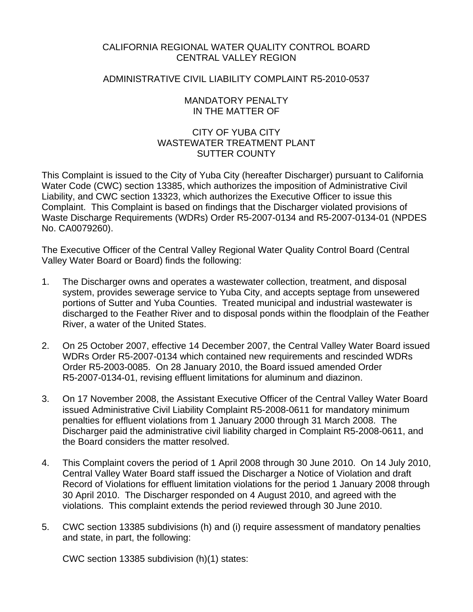### CALIFORNIA REGIONAL WATER QUALITY CONTROL BOARD CENTRAL VALLEY REGION

#### ADMINISTRATIVE CIVIL LIABILITY COMPLAINT R5-2010-0537

#### MANDATORY PENALTY IN THE MATTER OF

### CITY OF YUBA CITY WASTEWATER TREATMENT PI ANT SUTTER COUNTY

This Complaint is issued to the City of Yuba City (hereafter Discharger) pursuant to California Water Code (CWC) section 13385, which authorizes the imposition of Administrative Civil Liability, and CWC section 13323, which authorizes the Executive Officer to issue this Complaint. This Complaint is based on findings that the Discharger violated provisions of Waste Discharge Requirements (WDRs) Order R5-2007-0134 and R5-2007-0134-01 (NPDES No. CA0079260).

The Executive Officer of the Central Valley Regional Water Quality Control Board (Central Valley Water Board or Board) finds the following:

- 1. The Discharger owns and operates a wastewater collection, treatment, and disposal system, provides sewerage service to Yuba City, and accepts septage from unsewered portions of Sutter and Yuba Counties. Treated municipal and industrial wastewater is discharged to the Feather River and to disposal ponds within the floodplain of the Feather River, a water of the United States.
- 2. On 25 October 2007, effective 14 December 2007, the Central Valley Water Board issued WDRs Order R5-2007-0134 which contained new requirements and rescinded WDRs Order R5-2003-0085. On 28 January 2010, the Board issued amended Order R5-2007-0134-01, revising effluent limitations for aluminum and diazinon.
- 3. On 17 November 2008, the Assistant Executive Officer of the Central Valley Water Board issued Administrative Civil Liability Complaint R5-2008-0611 for mandatory minimum penalties for effluent violations from 1 January 2000 through 31 March 2008. The Discharger paid the administrative civil liability charged in Complaint R5-2008-0611, and the Board considers the matter resolved.
- 4. This Complaint covers the period of 1 April 2008 through 30 June 2010. On 14 July 2010, Central Valley Water Board staff issued the Discharger a Notice of Violation and draft Record of Violations for effluent limitation violations for the period 1 January 2008 through 30 April 2010. The Discharger responded on 4 August 2010, and agreed with the violations. This complaint extends the period reviewed through 30 June 2010.
- 5. CWC section 13385 subdivisions (h) and (i) require assessment of mandatory penalties and state, in part, the following:

CWC section 13385 subdivision (h)(1) states: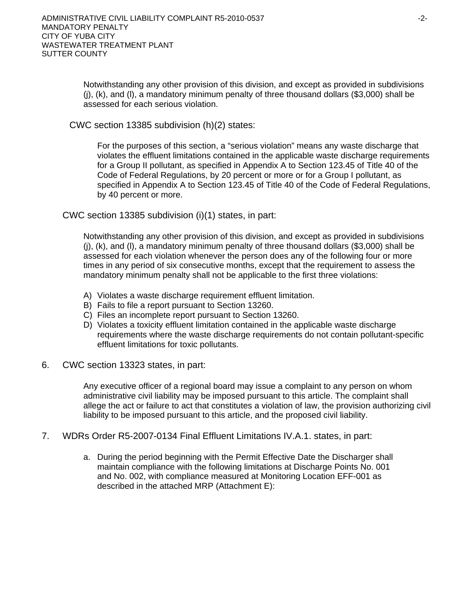Notwithstanding any other provision of this division, and except as provided in subdivisions  $(i)$ ,  $(k)$ , and  $(l)$ , a mandatory minimum penalty of three thousand dollars (\$3,000) shall be assessed for each serious violation.

CWC section 13385 subdivision (h)(2) states:

For the purposes of this section, a "serious violation" means any waste discharge that violates the effluent limitations contained in the applicable waste discharge requirements for a Group II pollutant, as specified in Appendix A to Section 123.45 of Title 40 of the Code of Federal Regulations, by 20 percent or more or for a Group I pollutant, as specified in Appendix A to Section 123.45 of Title 40 of the Code of Federal Regulations, by 40 percent or more.

CWC section 13385 subdivision (i)(1) states, in part:

Notwithstanding any other provision of this division, and except as provided in subdivisions  $(i)$ ,  $(k)$ , and  $(l)$ , a mandatory minimum penalty of three thousand dollars (\$3,000) shall be assessed for each violation whenever the person does any of the following four or more times in any period of six consecutive months, except that the requirement to assess the mandatory minimum penalty shall not be applicable to the first three violations:

- A) Violates a waste discharge requirement effluent limitation.
- B) Fails to file a report pursuant to Section 13260.
- C) Files an incomplete report pursuant to Section 13260.
- D) Violates a toxicity effluent limitation contained in the applicable waste discharge requirements where the waste discharge requirements do not contain pollutant-specific effluent limitations for toxic pollutants.
- 6. CWC section 13323 states, in part:

Any executive officer of a regional board may issue a complaint to any person on whom administrative civil liability may be imposed pursuant to this article. The complaint shall allege the act or failure to act that constitutes a violation of law, the provision authorizing civil liability to be imposed pursuant to this article, and the proposed civil liability.

- 7. WDRs Order R5-2007-0134 Final Effluent Limitations IV.A.1. states, in part:
	- a. During the period beginning with the Permit Effective Date the Discharger shall maintain compliance with the following limitations at Discharge Points No. 001 and No. 002, with compliance measured at Monitoring Location EFF-001 as described in the attached MRP (Attachment E):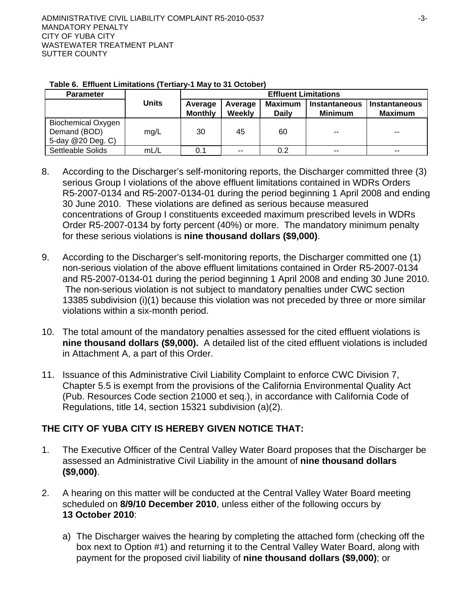| <b>Parameter</b>                                               |              | <b>Effluent Limitations</b> |                   |                                |                                        |                                        |  |
|----------------------------------------------------------------|--------------|-----------------------------|-------------------|--------------------------------|----------------------------------------|----------------------------------------|--|
|                                                                | <b>Units</b> | Average<br><b>Monthly</b>   | Average<br>Weekly | <b>Maximum</b><br><b>Daily</b> | <b>Instantaneous</b><br><b>Minimum</b> | <b>Instantaneous</b><br><b>Maximum</b> |  |
| <b>Biochemical Oxygen</b><br>Demand (BOD)<br>5-day @20 Deg. C) | mg/L         | 30                          | 45                | 60                             | $-$                                    | $-$                                    |  |
| Settleable Solids                                              | mL/L         | 0.1                         | $- -$             | 0.2                            | $- -$                                  | --                                     |  |

**Table 6. Effluent Limitations (Tertiary-1 May to 31 October)** 

- 8. According to the Discharger's self-monitoring reports, the Discharger committed three (3) serious Group I violations of the above effluent limitations contained in WDRs Orders R5-2007-0134 and R5-2007-0134-01 during the period beginning 1 April 2008 and ending 30 June 2010. These violations are defined as serious because measured concentrations of Group I constituents exceeded maximum prescribed levels in WDRs Order R5-2007-0134 by forty percent (40%) or more. The mandatory minimum penalty for these serious violations is **nine thousand dollars (\$9,000)**.
- 9. According to the Discharger's self-monitoring reports, the Discharger committed one (1) non-serious violation of the above effluent limitations contained in Order R5-2007-0134 and R5-2007-0134-01 during the period beginning 1 April 2008 and ending 30 June 2010. The non-serious violation is not subject to mandatory penalties under CWC section 13385 subdivision (i)(1) because this violation was not preceded by three or more similar violations within a six-month period.
- 10. The total amount of the mandatory penalties assessed for the cited effluent violations is **nine thousand dollars (\$9,000).** A detailed list of the cited effluent violations is included in Attachment A, a part of this Order.
- 11. Issuance of this Administrative Civil Liability Complaint to enforce CWC Division 7, Chapter 5.5 is exempt from the provisions of the California Environmental Quality Act (Pub. Resources Code section 21000 et seq.), in accordance with California Code of Regulations, title 14, section 15321 subdivision (a)(2).

# **THE CITY OF YUBA CITY IS HEREBY GIVEN NOTICE THAT:**

- 1. The Executive Officer of the Central Valley Water Board proposes that the Discharger be assessed an Administrative Civil Liability in the amount of **nine thousand dollars (\$9,000)**.
- 2. A hearing on this matter will be conducted at the Central Valley Water Board meeting scheduled on **8/9/10 December 2010**, unless either of the following occurs by **13 October 2010**:
	- a) The Discharger waives the hearing by completing the attached form (checking off the box next to Option #1) and returning it to the Central Valley Water Board, along with payment for the proposed civil liability of **nine thousand dollars (\$9,000)**; or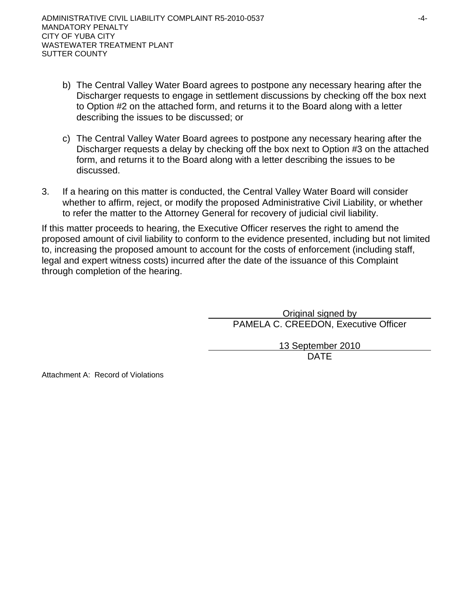- b) The Central Valley Water Board agrees to postpone any necessary hearing after the Discharger requests to engage in settlement discussions by checking off the box next to Option #2 on the attached form, and returns it to the Board along with a letter describing the issues to be discussed; or
- c) The Central Valley Water Board agrees to postpone any necessary hearing after the Discharger requests a delay by checking off the box next to Option #3 on the attached form, and returns it to the Board along with a letter describing the issues to be discussed.
- 3. If a hearing on this matter is conducted, the Central Valley Water Board will consider whether to affirm, reject, or modify the proposed Administrative Civil Liability, or whether to refer the matter to the Attorney General for recovery of judicial civil liability.

If this matter proceeds to hearing, the Executive Officer reserves the right to amend the proposed amount of civil liability to conform to the evidence presented, including but not limited to, increasing the proposed amount to account for the costs of enforcement (including staff, legal and expert witness costs) incurred after the date of the issuance of this Complaint through completion of the hearing.

> Original signed by PAMELA C. CREEDON, Executive Officer

13 September 2010 design and the contract of the contract of the DATE of the contract of the contract of the contract of the contract of the contract of the contract of the contract of the contract of the contract of the contract of the con

Attachment A: Record of Violations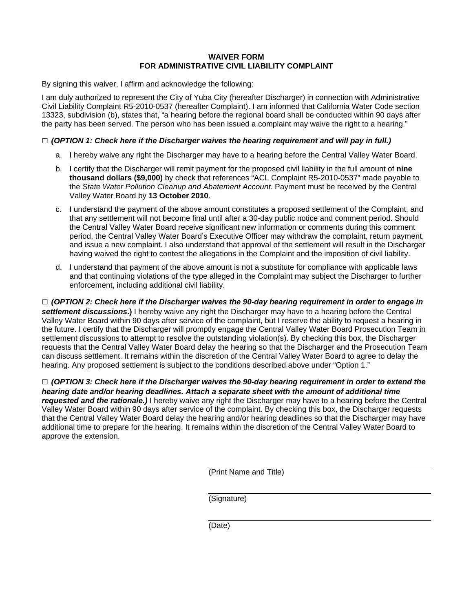#### **WAIVER FORM FOR ADMINISTRATIVE CIVIL LIABILITY COMPLAINT**

By signing this waiver, I affirm and acknowledge the following:

I am duly authorized to represent the City of Yuba City (hereafter Discharger) in connection with Administrative Civil Liability Complaint R5-2010-0537 (hereafter Complaint). I am informed that California Water Code section 13323, subdivision (b), states that, "a hearing before the regional board shall be conducted within 90 days after the party has been served. The person who has been issued a complaint may waive the right to a hearing."

#### **□** *(OPTION 1: Check here if the Discharger waives the hearing requirement and will pay in full.)*

- a. I hereby waive any right the Discharger may have to a hearing before the Central Valley Water Board.
- b. I certify that the Discharger will remit payment for the proposed civil liability in the full amount of **nine thousand dollars (\$9,000)** by check that references "ACL Complaint R5-2010-0537" made payable to the *State Water Pollution Cleanup and Abatement Account*. Payment must be received by the Central Valley Water Board by **13 October 2010**.
- c. I understand the payment of the above amount constitutes a proposed settlement of the Complaint, and that any settlement will not become final until after a 30-day public notice and comment period. Should the Central Valley Water Board receive significant new information or comments during this comment period, the Central Valley Water Board's Executive Officer may withdraw the complaint, return payment, and issue a new complaint. I also understand that approval of the settlement will result in the Discharger having waived the right to contest the allegations in the Complaint and the imposition of civil liability.
- d. I understand that payment of the above amount is not a substitute for compliance with applicable laws and that continuing violations of the type alleged in the Complaint may subject the Discharger to further enforcement, including additional civil liability.

**□** *(OPTION 2: Check here if the Discharger waives the 90-day hearing requirement in order to engage in settlement discussions***.)** I hereby waive any right the Discharger may have to a hearing before the Central Valley Water Board within 90 days after service of the complaint, but I reserve the ability to request a hearing in the future. I certify that the Discharger will promptly engage the Central Valley Water Board Prosecution Team in settlement discussions to attempt to resolve the outstanding violation(s). By checking this box, the Discharger requests that the Central Valley Water Board delay the hearing so that the Discharger and the Prosecution Team can discuss settlement. It remains within the discretion of the Central Valley Water Board to agree to delay the hearing. Any proposed settlement is subject to the conditions described above under "Option 1."

**□** *(OPTION 3: Check here if the Discharger waives the 90-day hearing requirement in order to extend the hearing date and/or hearing deadlines. Attach a separate sheet with the amount of additional time requested and the rationale.)* I hereby waive any right the Discharger may have to a hearing before the Central Valley Water Board within 90 days after service of the complaint. By checking this box, the Discharger requests that the Central Valley Water Board delay the hearing and/or hearing deadlines so that the Discharger may have additional time to prepare for the hearing. It remains within the discretion of the Central Valley Water Board to approve the extension.

(Print Name and Title)

(Signature)

(Date)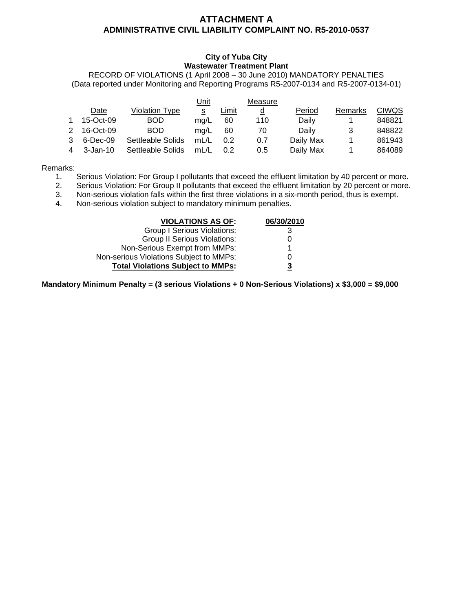#### **ATTACHMENT A ADMINISTRATIVE CIVIL LIABILITY COMPLAINT NO. R5-2010-0537**

#### **City of Yuba City Wastewater Treatment Plant**

RECORD OF VIOLATIONS (1 April 2008 – 30 June 2010) MANDATORY PENALTIES (Data reported under Monitoring and Reporting Programs R5-2007-0134 and R5-2007-0134-01)

|                |             |                   | Unit |       | Measure |           |         |              |
|----------------|-------------|-------------------|------|-------|---------|-----------|---------|--------------|
|                | Date        | Violation Type    | s    | ∟imit | d       | Period    | Remarks | <b>CIWQS</b> |
|                | 15-Oct-09   | <b>BOD</b>        | ma/L | 60    | 110     | Daily     |         | 848821       |
| 2              | 16-Oct-09   | BOD.              | ma/L | 60    | 70      | Daily     | 3       | 848822       |
| 3              | $6$ -Dec-09 | Settleable Solids | mL/L | 0.2   | 0.7     | Daily Max |         | 861943       |
| $\overline{4}$ | 3-Jan-10    | Settleable Solids | mL/L | 0.2   | 0.5     | Daily Max |         | 864089       |

#### Remarks:

1. Serious Violation: For Group I pollutants that exceed the effluent limitation by 40 percent or more.

2. Serious Violation: For Group II pollutants that exceed the effluent limitation by 20 percent or more.

3. Non-serious violation falls within the first three violations in a six-month period, thus is exempt.

4. Non-serious violation subject to mandatory minimum penalties.

| <b>VIOLATIONS AS OF:</b>                 | 06/30/2010 |
|------------------------------------------|------------|
| <b>Group I Serious Violations:</b>       | 3          |
| <b>Group II Serious Violations:</b>      | 0          |
| Non-Serious Exempt from MMPs:            | 1          |
| Non-serious Violations Subject to MMPs:  | 0          |
| <b>Total Violations Subject to MMPs:</b> | 3          |

**Mandatory Minimum Penalty = (3 serious Violations + 0 Non-Serious Violations) x \$3,000 = \$9,000**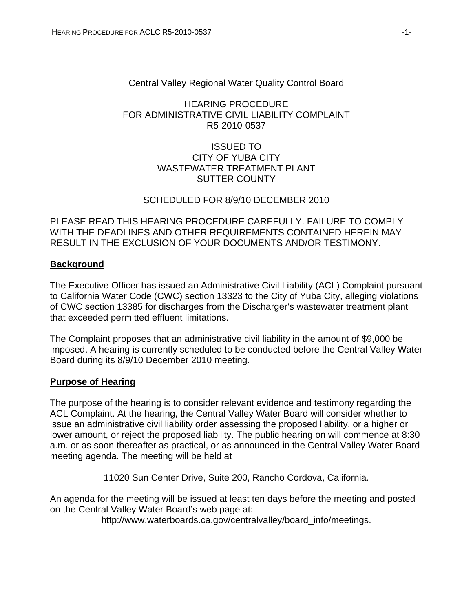### Central Valley Regional Water Quality Control Board

#### HEARING PROCEDURE FOR ADMINISTRATIVE CIVIL LIABILITY COMPLAINT R5-2010-0537

### ISSUED TO CITY OF YUBA CITY WASTEWATER TREATMENT PLANT SUTTER COUNTY

## SCHEDULED FOR 8/9/10 DECEMBER 2010

PLEASE READ THIS HEARING PROCEDURE CAREFULLY. FAILURE TO COMPLY WITH THE DEADLINES AND OTHER REQUIREMENTS CONTAINED HEREIN MAY RESULT IN THE EXCLUSION OF YOUR DOCUMENTS AND/OR TESTIMONY.

## **Background**

The Executive Officer has issued an Administrative Civil Liability (ACL) Complaint pursuant to California Water Code (CWC) section 13323 to the City of Yuba City, alleging violations of CWC section 13385 for discharges from the Discharger's wastewater treatment plant that exceeded permitted effluent limitations.

The Complaint proposes that an administrative civil liability in the amount of \$9,000 be imposed. A hearing is currently scheduled to be conducted before the Central Valley Water Board during its 8/9/10 December 2010 meeting.

### **Purpose of Hearing**

The purpose of the hearing is to consider relevant evidence and testimony regarding the ACL Complaint. At the hearing, the Central Valley Water Board will consider whether to issue an administrative civil liability order assessing the proposed liability, or a higher or lower amount, or reject the proposed liability. The public hearing on will commence at 8:30 a.m. or as soon thereafter as practical, or as announced in the Central Valley Water Board meeting agenda. The meeting will be held at

11020 Sun Center Drive, Suite 200, Rancho Cordova, California.

An agenda for the meeting will be issued at least ten days before the meeting and posted on the Central Valley Water Board's web page at:

http://www.waterboards.ca.gov/centralvalley/board\_info/meetings.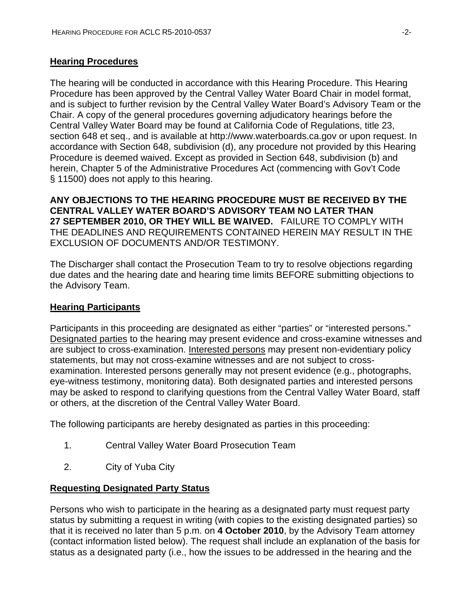### **Hearing Procedures**

The hearing will be conducted in accordance with this Hearing Procedure. This Hearing Procedure has been approved by the Central Valley Water Board Chair in model format, and is subject to further revision by the Central Valley Water Board's Advisory Team or the Chair. A copy of the general procedures governing adjudicatory hearings before the Central Valley Water Board may be found at California Code of Regulations, title 23, section 648 et seq., and is available at http://www.waterboards.ca.gov or upon request. In accordance with Section 648, subdivision (d), any procedure not provided by this Hearing Procedure is deemed waived. Except as provided in Section 648, subdivision (b) and herein, Chapter 5 of the Administrative Procedures Act (commencing with Gov't Code § 11500) does not apply to this hearing.

**ANY OBJECTIONS TO THE HEARING PROCEDURE MUST BE RECEIVED BY THE CENTRAL VALLEY WATER BOARD'S ADVISORY TEAM NO LATER THAN 27 SEPTEMBER 2010, OR THEY WILL BE WAIVED.** FAILURE TO COMPLY WITH THE DEADLINES AND REQUIREMENTS CONTAINED HEREIN MAY RESULT IN THE EXCLUSION OF DOCUMENTS AND/OR TESTIMONY.

The Discharger shall contact the Prosecution Team to try to resolve objections regarding due dates and the hearing date and hearing time limits BEFORE submitting objections to the Advisory Team.

### **Hearing Participants**

Participants in this proceeding are designated as either "parties" or "interested persons." Designated parties to the hearing may present evidence and cross-examine witnesses and are subject to cross-examination. Interested persons may present non-evidentiary policy statements, but may not cross-examine witnesses and are not subject to crossexamination. Interested persons generally may not present evidence (e.g., photographs, eye-witness testimony, monitoring data). Both designated parties and interested persons may be asked to respond to clarifying questions from the Central Valley Water Board, staff or others, at the discretion of the Central Valley Water Board.

The following participants are hereby designated as parties in this proceeding:

- 1. Central Valley Water Board Prosecution Team
- 2. City of Yuba City

## **Requesting Designated Party Status**

Persons who wish to participate in the hearing as a designated party must request party status by submitting a request in writing (with copies to the existing designated parties) so that it is received no later than 5 p.m. on **4 October 2010**, by the Advisory Team attorney (contact information listed below). The request shall include an explanation of the basis for status as a designated party (i.e., how the issues to be addressed in the hearing and the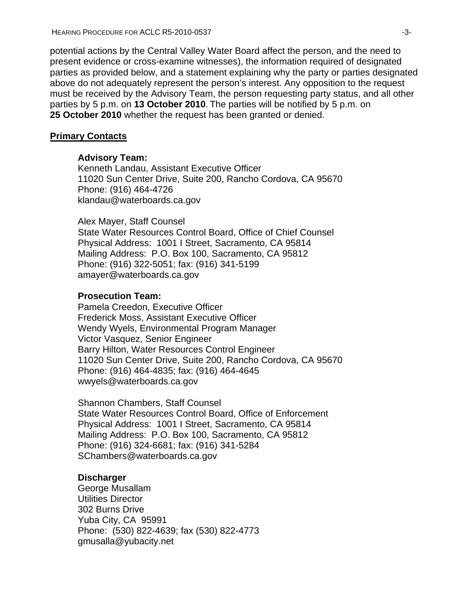potential actions by the Central Valley Water Board affect the person, and the need to present evidence or cross-examine witnesses), the information required of designated parties as provided below, and a statement explaining why the party or parties designated above do not adequately represent the person's interest. Any opposition to the request must be received by the Advisory Team, the person requesting party status, and all other parties by 5 p.m. on **13 October 2010**. The parties will be notified by 5 p.m. on **25 October 2010** whether the request has been granted or denied.

#### **Primary Contacts**

#### **Advisory Team:**

Kenneth Landau, Assistant Executive Officer 11020 Sun Center Drive, Suite 200, Rancho Cordova, CA 95670 Phone: (916) 464-4726 klandau@waterboards.ca.gov

Alex Mayer, Staff Counsel State Water Resources Control Board, Office of Chief Counsel Physical Address: 1001 I Street, Sacramento, CA 95814 Mailing Address: P.O. Box 100, Sacramento, CA 95812 Phone: (916) 322-5051; fax: (916) 341-5199 amayer@waterboards.ca.gov

#### **Prosecution Team:**

Pamela Creedon, Executive Officer Frederick Moss, Assistant Executive Officer Wendy Wyels, Environmental Program Manager Victor Vasquez, Senior Engineer Barry Hilton, Water Resources Control Engineer 11020 Sun Center Drive, Suite 200, Rancho Cordova, CA 95670 Phone: (916) 464-4835; fax: (916) 464-4645 wwyels@waterboards.ca.gov

Shannon Chambers, Staff Counsel State Water Resources Control Board, Office of Enforcement Physical Address: 1001 I Street, Sacramento, CA 95814 Mailing Address: P.O. Box 100, Sacramento, CA 95812 Phone: (916) 324-6681; fax: (916) 341-5284 SChambers@waterboards.ca.gov

#### **Discharger**

George Musallam Utilities Director 302 Burns Drive Yuba City, CA 95991 Phone: (530) 822-4639; fax (530) 822-4773 gmusalla@yubacity.net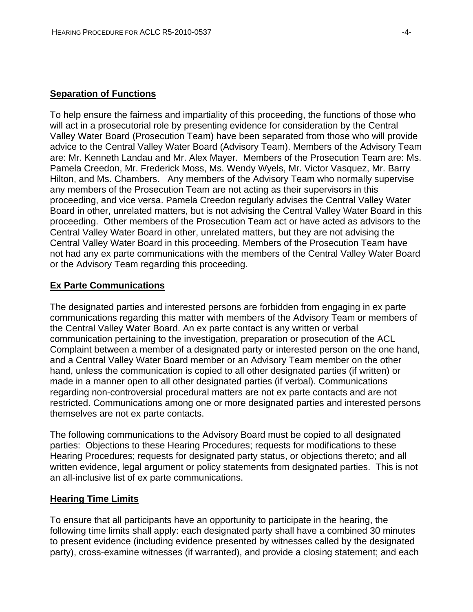#### **Separation of Functions**

To help ensure the fairness and impartiality of this proceeding, the functions of those who will act in a prosecutorial role by presenting evidence for consideration by the Central Valley Water Board (Prosecution Team) have been separated from those who will provide advice to the Central Valley Water Board (Advisory Team). Members of the Advisory Team are: Mr. Kenneth Landau and Mr. Alex Mayer. Members of the Prosecution Team are: Ms. Pamela Creedon, Mr. Frederick Moss, Ms. Wendy Wyels, Mr. Victor Vasquez, Mr. Barry Hilton, and Ms. Chambers. Any members of the Advisory Team who normally supervise any members of the Prosecution Team are not acting as their supervisors in this proceeding, and vice versa. Pamela Creedon regularly advises the Central Valley Water Board in other, unrelated matters, but is not advising the Central Valley Water Board in this proceeding. Other members of the Prosecution Team act or have acted as advisors to the Central Valley Water Board in other, unrelated matters, but they are not advising the Central Valley Water Board in this proceeding. Members of the Prosecution Team have not had any ex parte communications with the members of the Central Valley Water Board or the Advisory Team regarding this proceeding.

#### **Ex Parte Communications**

The designated parties and interested persons are forbidden from engaging in ex parte communications regarding this matter with members of the Advisory Team or members of the Central Valley Water Board. An ex parte contact is any written or verbal communication pertaining to the investigation, preparation or prosecution of the ACL Complaint between a member of a designated party or interested person on the one hand, and a Central Valley Water Board member or an Advisory Team member on the other hand, unless the communication is copied to all other designated parties (if written) or made in a manner open to all other designated parties (if verbal). Communications regarding non-controversial procedural matters are not ex parte contacts and are not restricted. Communications among one or more designated parties and interested persons themselves are not ex parte contacts.

The following communications to the Advisory Board must be copied to all designated parties: Objections to these Hearing Procedures; requests for modifications to these Hearing Procedures; requests for designated party status, or objections thereto; and all written evidence, legal argument or policy statements from designated parties. This is not an all-inclusive list of ex parte communications.

#### **Hearing Time Limits**

To ensure that all participants have an opportunity to participate in the hearing, the following time limits shall apply: each designated party shall have a combined 30 minutes to present evidence (including evidence presented by witnesses called by the designated party), cross-examine witnesses (if warranted), and provide a closing statement; and each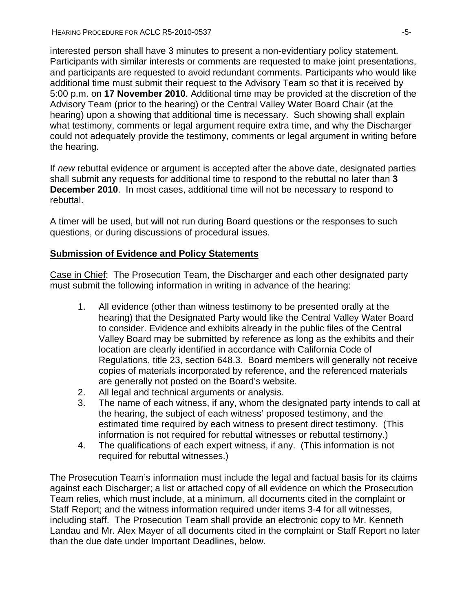interested person shall have 3 minutes to present a non-evidentiary policy statement. Participants with similar interests or comments are requested to make joint presentations, and participants are requested to avoid redundant comments. Participants who would like additional time must submit their request to the Advisory Team so that it is received by 5:00 p.m. on **17 November 2010**. Additional time may be provided at the discretion of the Advisory Team (prior to the hearing) or the Central Valley Water Board Chair (at the hearing) upon a showing that additional time is necessary. Such showing shall explain what testimony, comments or legal argument require extra time, and why the Discharger could not adequately provide the testimony, comments or legal argument in writing before the hearing.

If *new* rebuttal evidence or argument is accepted after the above date, designated parties shall submit any requests for additional time to respond to the rebuttal no later than **3 December 2010**. In most cases, additional time will not be necessary to respond to rebuttal.

A timer will be used, but will not run during Board questions or the responses to such questions, or during discussions of procedural issues.

### **Submission of Evidence and Policy Statements**

Case in Chief: The Prosecution Team, the Discharger and each other designated party must submit the following information in writing in advance of the hearing:

- 1. All evidence (other than witness testimony to be presented orally at the hearing) that the Designated Party would like the Central Valley Water Board to consider. Evidence and exhibits already in the public files of the Central Valley Board may be submitted by reference as long as the exhibits and their location are clearly identified in accordance with California Code of Regulations, title 23, section 648.3. Board members will generally not receive copies of materials incorporated by reference, and the referenced materials are generally not posted on the Board's website.
- 2. All legal and technical arguments or analysis.
- 3. The name of each witness, if any, whom the designated party intends to call at the hearing, the subject of each witness' proposed testimony, and the estimated time required by each witness to present direct testimony. (This information is not required for rebuttal witnesses or rebuttal testimony.)
- 4. The qualifications of each expert witness, if any. (This information is not required for rebuttal witnesses.)

The Prosecution Team's information must include the legal and factual basis for its claims against each Discharger; a list or attached copy of all evidence on which the Prosecution Team relies, which must include, at a minimum, all documents cited in the complaint or Staff Report; and the witness information required under items 3-4 for all witnesses, including staff. The Prosecution Team shall provide an electronic copy to Mr. Kenneth Landau and Mr. Alex Mayer of all documents cited in the complaint or Staff Report no later than the due date under Important Deadlines, below.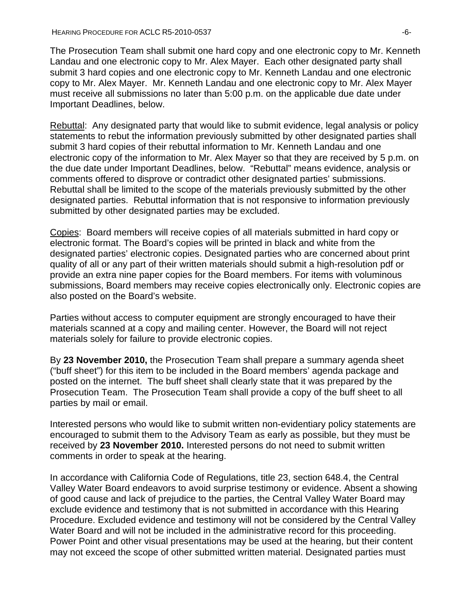The Prosecution Team shall submit one hard copy and one electronic copy to Mr. Kenneth Landau and one electronic copy to Mr. Alex Mayer. Each other designated party shall submit 3 hard copies and one electronic copy to Mr. Kenneth Landau and one electronic copy to Mr. Alex Mayer. Mr. Kenneth Landau and one electronic copy to Mr. Alex Mayer must receive all submissions no later than 5:00 p.m. on the applicable due date under Important Deadlines, below.

Rebuttal: Any designated party that would like to submit evidence, legal analysis or policy statements to rebut the information previously submitted by other designated parties shall submit 3 hard copies of their rebuttal information to Mr. Kenneth Landau and one electronic copy of the information to Mr. Alex Mayer so that they are received by 5 p.m. on the due date under Important Deadlines, below. "Rebuttal" means evidence, analysis or comments offered to disprove or contradict other designated parties' submissions. Rebuttal shall be limited to the scope of the materials previously submitted by the other designated parties. Rebuttal information that is not responsive to information previously submitted by other designated parties may be excluded.

Copies: Board members will receive copies of all materials submitted in hard copy or electronic format. The Board's copies will be printed in black and white from the designated parties' electronic copies. Designated parties who are concerned about print quality of all or any part of their written materials should submit a high-resolution pdf or provide an extra nine paper copies for the Board members. For items with voluminous submissions, Board members may receive copies electronically only. Electronic copies are also posted on the Board's website.

Parties without access to computer equipment are strongly encouraged to have their materials scanned at a copy and mailing center. However, the Board will not reject materials solely for failure to provide electronic copies.

By **23 November 2010,** the Prosecution Team shall prepare a summary agenda sheet ("buff sheet") for this item to be included in the Board members' agenda package and posted on the internet. The buff sheet shall clearly state that it was prepared by the Prosecution Team. The Prosecution Team shall provide a copy of the buff sheet to all parties by mail or email.

Interested persons who would like to submit written non-evidentiary policy statements are encouraged to submit them to the Advisory Team as early as possible, but they must be received by **23 November 2010.** Interested persons do not need to submit written comments in order to speak at the hearing.

In accordance with California Code of Regulations, title 23, section 648.4, the Central Valley Water Board endeavors to avoid surprise testimony or evidence. Absent a showing of good cause and lack of prejudice to the parties, the Central Valley Water Board may exclude evidence and testimony that is not submitted in accordance with this Hearing Procedure. Excluded evidence and testimony will not be considered by the Central Valley Water Board and will not be included in the administrative record for this proceeding. Power Point and other visual presentations may be used at the hearing, but their content may not exceed the scope of other submitted written material. Designated parties must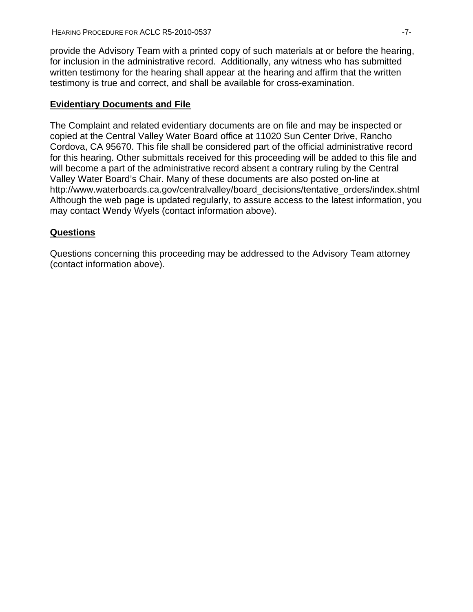provide the Advisory Team with a printed copy of such materials at or before the hearing, for inclusion in the administrative record. Additionally, any witness who has submitted written testimony for the hearing shall appear at the hearing and affirm that the written testimony is true and correct, and shall be available for cross-examination.

#### **Evidentiary Documents and File**

The Complaint and related evidentiary documents are on file and may be inspected or copied at the Central Valley Water Board office at 11020 Sun Center Drive, Rancho Cordova, CA 95670. This file shall be considered part of the official administrative record for this hearing. Other submittals received for this proceeding will be added to this file and will become a part of the administrative record absent a contrary ruling by the Central Valley Water Board's Chair. Many of these documents are also posted on-line at http://www.waterboards.ca.gov/centralvalley/board\_decisions/tentative\_orders/index.shtml Although the web page is updated regularly, to assure access to the latest information, you may contact Wendy Wyels (contact information above).

### **Questions**

Questions concerning this proceeding may be addressed to the Advisory Team attorney (contact information above).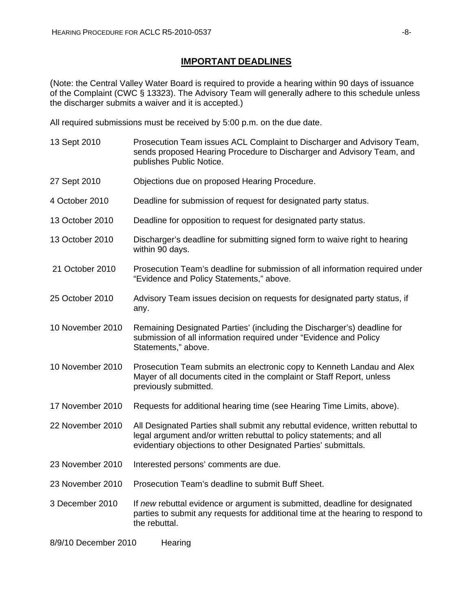### **IMPORTANT DEADLINES**

(Note: the Central Valley Water Board is required to provide a hearing within 90 days of issuance of the Complaint (CWC § 13323). The Advisory Team will generally adhere to this schedule unless the discharger submits a waiver and it is accepted.)

All required submissions must be received by 5:00 p.m. on the due date.

| 13 Sept 2010         | Prosecution Team issues ACL Complaint to Discharger and Advisory Team,<br>sends proposed Hearing Procedure to Discharger and Advisory Team, and<br>publishes Public Notice.                                               |  |  |  |
|----------------------|---------------------------------------------------------------------------------------------------------------------------------------------------------------------------------------------------------------------------|--|--|--|
| 27 Sept 2010         | Objections due on proposed Hearing Procedure.                                                                                                                                                                             |  |  |  |
| 4 October 2010       | Deadline for submission of request for designated party status.                                                                                                                                                           |  |  |  |
| 13 October 2010      | Deadline for opposition to request for designated party status.                                                                                                                                                           |  |  |  |
| 13 October 2010      | Discharger's deadline for submitting signed form to waive right to hearing<br>within 90 days.                                                                                                                             |  |  |  |
| 21 October 2010      | Prosecution Team's deadline for submission of all information required under<br>"Evidence and Policy Statements," above.                                                                                                  |  |  |  |
| 25 October 2010      | Advisory Team issues decision on requests for designated party status, if<br>any.                                                                                                                                         |  |  |  |
| 10 November 2010     | Remaining Designated Parties' (including the Discharger's) deadline for<br>submission of all information required under "Evidence and Policy<br>Statements," above.                                                       |  |  |  |
| 10 November 2010     | Prosecution Team submits an electronic copy to Kenneth Landau and Alex<br>Mayer of all documents cited in the complaint or Staff Report, unless<br>previously submitted.                                                  |  |  |  |
| 17 November 2010     | Requests for additional hearing time (see Hearing Time Limits, above).                                                                                                                                                    |  |  |  |
| 22 November 2010     | All Designated Parties shall submit any rebuttal evidence, written rebuttal to<br>legal argument and/or written rebuttal to policy statements; and all<br>evidentiary objections to other Designated Parties' submittals. |  |  |  |
| 23 November 2010     | Interested persons' comments are due.                                                                                                                                                                                     |  |  |  |
| 23 November 2010     | Prosecution Team's deadline to submit Buff Sheet.                                                                                                                                                                         |  |  |  |
| 3 December 2010      | If new rebuttal evidence or argument is submitted, deadline for designated<br>parties to submit any requests for additional time at the hearing to respond to<br>the rebuttal.                                            |  |  |  |
| 8/9/10 December 2010 | Hearing                                                                                                                                                                                                                   |  |  |  |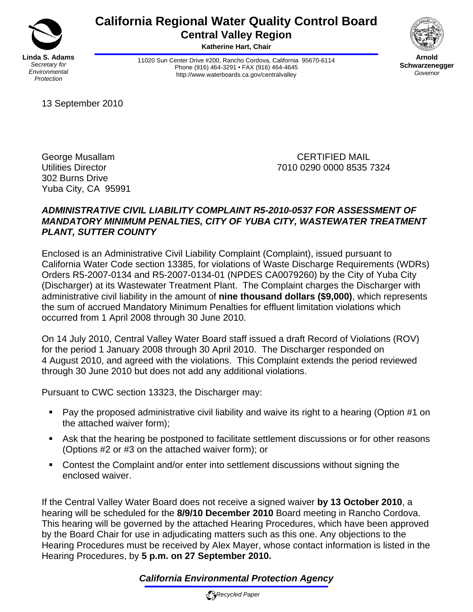

# **California Regional Water Quality Control Board Central Valley Region**

**Katherine Hart, Chair** 

11020 Sun Center Drive #200, Rancho Cordova, California 95670-6114 Phone (916) 464-3291 • FAX (916) 464-4645 http://www.waterboards.ca.gov/centralvalley



**Arnold Schwarzenegger** *Governor* 

13 September 2010

302 Burns Drive Yuba City, CA 95991

George Musallam CERTIFIED MAIL Utilities Director 7010 0290 0000 8535 7324

## *ADMINISTRATIVE CIVIL LIABILITY COMPLAINT R5-2010-0537 FOR ASSESSMENT OF MANDATORY MINIMUM PENALTIES, CITY OF YUBA CITY, WASTEWATER TREATMENT PLANT, SUTTER COUNTY*

Enclosed is an Administrative Civil Liability Complaint (Complaint), issued pursuant to California Water Code section 13385, for violations of Waste Discharge Requirements (WDRs) Orders R5-2007-0134 and R5-2007-0134-01 (NPDES CA0079260) by the City of Yuba City (Discharger) at its Wastewater Treatment Plant. The Complaint charges the Discharger with administrative civil liability in the amount of **nine thousand dollars (\$9,000)**, which represents the sum of accrued Mandatory Minimum Penalties for effluent limitation violations which occurred from 1 April 2008 through 30 June 2010.

On 14 July 2010, Central Valley Water Board staff issued a draft Record of Violations (ROV) for the period 1 January 2008 through 30 April 2010. The Discharger responded on 4 August 2010, and agreed with the violations. This Complaint extends the period reviewed through 30 June 2010 but does not add any additional violations.

Pursuant to CWC section 13323, the Discharger may:

- Pay the proposed administrative civil liability and waive its right to a hearing (Option #1 on the attached waiver form);
- Ask that the hearing be postponed to facilitate settlement discussions or for other reasons (Options #2 or #3 on the attached waiver form); or
- Contest the Complaint and/or enter into settlement discussions without signing the enclosed waiver.

If the Central Valley Water Board does not receive a signed waiver **by 13 October 2010**, a hearing will be scheduled for the **8/9/10 December 2010** Board meeting in Rancho Cordova. This hearing will be governed by the attached Hearing Procedures, which have been approved by the Board Chair for use in adjudicating matters such as this one. Any objections to the Hearing Procedures must be received by Alex Mayer, whose contact information is listed in the Hearing Procedures, by **5 p.m. on 27 September 2010.** 

## *California Environmental Protection Agency*